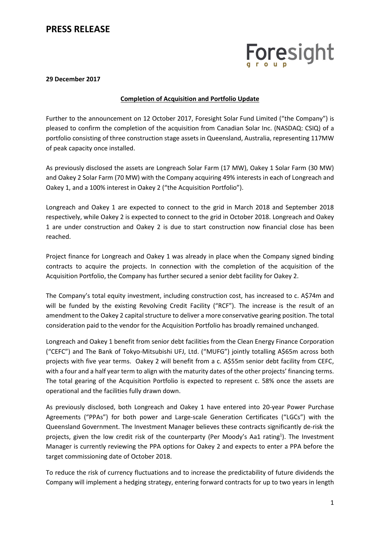### **PRESS RELEASE**

# Foresight

#### **29 December 2017**

#### **Completion of Acquisition and Portfolio Update**

Further to the announcement on 12 October 2017, Foresight Solar Fund Limited ("the Company") is pleased to confirm the completion of the acquisition from Canadian Solar Inc. (NASDAQ: CSIQ) of a portfolio consisting of three construction stage assets in Queensland, Australia, representing 117MW of peak capacity once installed.

As previously disclosed the assets are Longreach Solar Farm (17 MW), Oakey 1 Solar Farm (30 MW) and Oakey 2 Solar Farm (70 MW) with the Company acquiring 49% interests in each of Longreach and Oakey 1, and a 100% interest in Oakey 2 ("the Acquisition Portfolio").

Longreach and Oakey 1 are expected to connect to the grid in March 2018 and September 2018 respectively, while Oakey 2 is expected to connect to the grid in October 2018. Longreach and Oakey 1 are under construction and Oakey 2 is due to start construction now financial close has been reached.

Project finance for Longreach and Oakey 1 was already in place when the Company signed binding contracts to acquire the projects. In connection with the completion of the acquisition of the Acquisition Portfolio, the Company has further secured a senior debt facility for Oakey 2.

The Company's total equity investment, including construction cost, has increased to c. A\$74m and will be funded by the existing Revolving Credit Facility ("RCF"). The increase is the result of an amendment to the Oakey 2 capital structure to deliver a more conservative gearing position. The total consideration paid to the vendor for the Acquisition Portfolio has broadly remained unchanged.

Longreach and Oakey 1 benefit from senior debt facilities from the Clean Energy Finance Corporation ("CEFC") and The Bank of Tokyo-Mitsubishi UFJ, Ltd. ("MUFG") jointly totalling A\$65m across both projects with five year terms. Oakey 2 will benefit from a c. A\$55m senior debt facility from CEFC, with a four and a half year term to align with the maturity dates of the other projects' financing terms. The total gearing of the Acquisition Portfolio is expected to represent c. 58% once the assets are operational and the facilities fully drawn down.

As previously disclosed, both Longreach and Oakey 1 have entered into 20-year Power Purchase Agreements ("PPAs") for both power and Large-scale Generation Certificates ("LGCs") with the Queensland Government. The Investment Manager believes these contracts significantly de-risk the projects, given the low credit risk of the counterparty (Per Moody's Aa1 rating<sup>1</sup>). The Investment Manager is currently reviewing the PPA options for Oakey 2 and expects to enter a PPA before the target commissioning date of October 2018.

To reduce the risk of currency fluctuations and to increase the predictability of future dividends the Company will implement a hedging strategy, entering forward contracts for up to two years in length